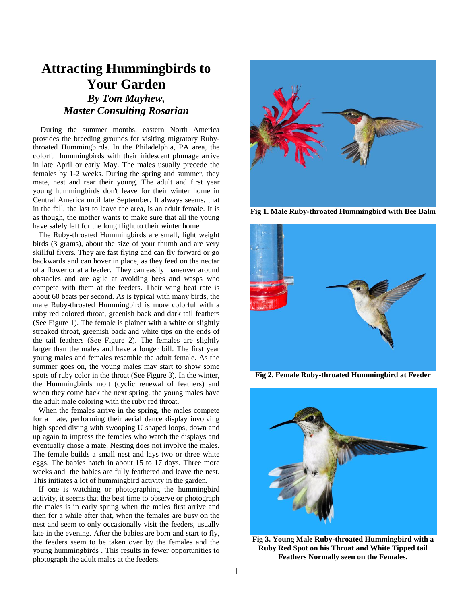## **Attracting Hummingbirds to Your Garden** *By Tom Mayhew, Master Consulting Rosarian*

During the summer months, eastern North America provides the breeding grounds for visiting migratory Rubythroated Hummingbirds. In the Philadelphia, PA area, the colorful hummingbirds with their iridescent plumage arrive in late April or early May. The males usually precede the females by 1-2 weeks. During the spring and summer, they mate, nest and rear their young. The adult and first year young hummingbirds don't leave for their winter home in Central America until late September. It always seems, that in the fall, the last to leave the area, is an adult female. It is as though, the mother wants to make sure that all the young have safely left for the long flight to their winter home.

 The Ruby-throated Hummingbirds are small, light weight birds (3 grams), about the size of your thumb and are very skillful flyers. They are fast flying and can fly forward or go backwards and can hover in place, as they feed on the nectar of a flower or at a feeder. They can easily maneuver around obstacles and are agile at avoiding bees and wasps who compete with them at the feeders. Their wing beat rate is about 60 beats per second. As is typical with many birds, the male Ruby-throated Hummingbird is more colorful with a ruby red colored throat, greenish back and dark tail feathers (See Figure 1). The female is plainer with a white or slightly streaked throat, greenish back and white tips on the ends of the tail feathers (See Figure 2). The females are slightly larger than the males and have a longer bill. The first year young males and females resemble the adult female. As the summer goes on, the young males may start to show some spots of ruby color in the throat (See Figure 3). In the winter, the Hummingbirds molt (cyclic renewal of feathers) and when they come back the next spring, the young males have the adult male coloring with the ruby red throat.

 When the females arrive in the spring, the males compete for a mate, performing their aerial dance display involving high speed diving with swooping U shaped loops, down and up again to impress the females who watch the displays and eventually chose a mate. Nesting does not involve the males. The female builds a small nest and lays two or three white eggs. The babies hatch in about 15 to 17 days. Three more weeks and the babies are fully feathered and leave the nest. This initiates a lot of hummingbird activity in the garden.

 If one is watching or photographing the hummingbird activity, it seems that the best time to observe or photograph the males is in early spring when the males first arrive and then for a while after that, when the females are busy on the nest and seem to only occasionally visit the feeders, usually late in the evening. After the babies are born and start to fly, the feeders seem to be taken over by the females and the young hummingbirds . This results in fewer opportunities to photograph the adult males at the feeders.



**Fig 1. Male Ruby-throated Hummingbird with Bee Balm**



**Fig 2. Female Ruby-throated Hummingbird at Feeder**



**Fig 3. Young Male Ruby-throated Hummingbird with a Ruby Red Spot on his Throat and White Tipped tail Feathers Normally seen on the Females.**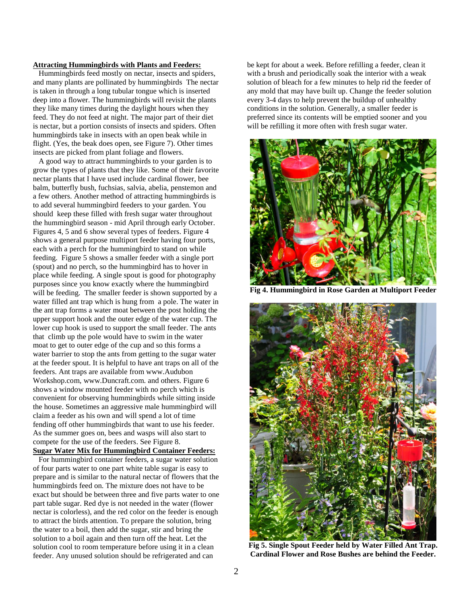## **Attracting Hummingbirds with Plants and Feeders:**

Hummingbirds feed mostly on nectar, insects and spiders, and many plants are pollinated by hummingbirds The nectar is taken in through a long tubular tongue which is inserted deep into a flower. The hummingbirds will revisit the plants they like many times during the daylight hours when they feed. They do not feed at night. The major part of their diet is nectar, but a portion consists of insects and spiders. Often hummingbirds take in insects with an open beak while in flight. (Yes, the beak does open, see Figure 7). Other times insects are picked from plant foliage and flowers.

 A good way to attract hummingbirds to your garden is to grow the types of plants that they like. Some of their favorite nectar plants that I have used include cardinal flower, bee balm, butterfly bush, fuchsias, salvia, abelia, penstemon and a few others. Another method of attracting hummingbirds is to add several hummingbird feeders to your garden. You should keep these filled with fresh sugar water throughout the hummingbird season - mid April through early October. Figures 4, 5 and 6 show several types of feeders. Figure 4 shows a general purpose multiport feeder having four ports, each with a perch for the hummingbird to stand on while feeding. Figure 5 shows a smaller feeder with a single port (spout) and no perch, so the hummingbird has to hover in place while feeding. A single spout is good for photography purposes since you know exactly where the hummingbird will be feeding. The smaller feeder is shown supported by a water filled ant trap which is hung from a pole. The water in the ant trap forms a water moat between the post holding the upper support hook and the outer edge of the water cup. The lower cup hook is used to support the small feeder. The ants that climb up the pole would have to swim in the water moat to get to outer edge of the cup and so this forms a water barrier to stop the ants from getting to the sugar water at the feeder spout. It is helpful to have ant traps on all of the feeders. Ant traps are available from www.Audubon Workshop.com, www.Duncraft.com. and others. Figure 6 shows a window mounted feeder with no perch which is convenient for observing hummingbirds while sitting inside the house. Sometimes an aggressive male hummingbird will claim a feeder as his own and will spend a lot of time fending off other hummingbirds that want to use his feeder. As the summer goes on, bees and wasps will also start to compete for the use of the feeders. See Figure 8. **Sugar Water Mix for Hummingbird Container Feeders:**

 For hummingbird container feeders, a sugar water solution of four parts water to one part white table sugar is easy to prepare and is similar to the natural nectar of flowers that the hummingbirds feed on. The mixture does not have to be exact but should be between three and five parts water to one part table sugar. Red dye is not needed in the water (flower nectar is colorless), and the red color on the feeder is enough to attract the birds attention. To prepare the solution, bring the water to a boil, then add the sugar, stir and bring the solution to a boil again and then turn off the heat. Let the solution cool to room temperature before using it in a clean feeder. Any unused solution should be refrigerated and can

be kept for about a week. Before refilling a feeder, clean it with a brush and periodically soak the interior with a weak solution of bleach for a few minutes to help rid the feeder of any mold that may have built up. Change the feeder solution every 3-4 days to help prevent the buildup of unhealthy conditions in the solution. Generally, a smaller feeder is preferred since its contents will be emptied sooner and you will be refilling it more often with fresh sugar water.



**Fig 4. Hummingbird in Rose Garden at Multiport Feeder**



**Fig 5. Single Spout Feeder held by Water Filled Ant Trap. Cardinal Flower and Rose Bushes are behind the Feeder.**